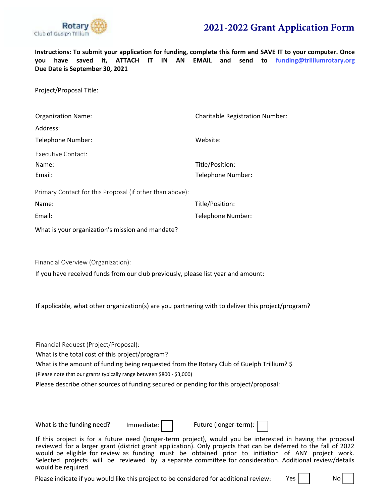

**Instructions: To submit your application for funding, complete this form and SAVE IT to your computer. Once you have saved it, ATTACH IT IN AN EMAIL and send to funding@trilliumrotary.org Due Date is September 30, 2021** 

Project/Proposal Title:

| <b>Organization Name:</b>                                | <b>Charitable Registration Number:</b> |
|----------------------------------------------------------|----------------------------------------|
| Address:                                                 |                                        |
| Telephone Number:                                        | Website:                               |
| Executive Contact:                                       |                                        |
| Name:                                                    | Title/Position:                        |
| Email:                                                   | Telephone Number:                      |
| Primary Contact for this Proposal (if other than above): |                                        |
| Name:                                                    | Title/Position:                        |
| Email:                                                   | Telephone Number:                      |
| What is your organization's mission and mandate?         |                                        |

Financial Overview (Organization):

If you have received funds from our club previously, please list year and amount:

If applicable, what other organization(s) are you partnering with to deliver this project/program?

Financial Request (Project/Proposal):

What is the total cost of this project/program?

What is the amount of funding being requested from the Rotary Club of Guelph Trillium? \$

(Please note that our grants typically range between \$800 - \$3,000)

Please describe other sources of funding secured or pending for this project/proposal:

What is the funding need? Immediate:  $\vert$  Future (longer-term):



If this project is for a future need (longer-term project), would you be interested in having the proposal reviewed for a larger grant (district grant application). Only projects that can be deferred to the fall of 2022 would be eligible for review as funding must be obtained prior to initiation of ANY project work. Selected projects will be reviewed by a separate committee for consideration. Additional review/details would be required.

Please indicate if you would like this project to be considered for additional review:  $Yes$  | | No